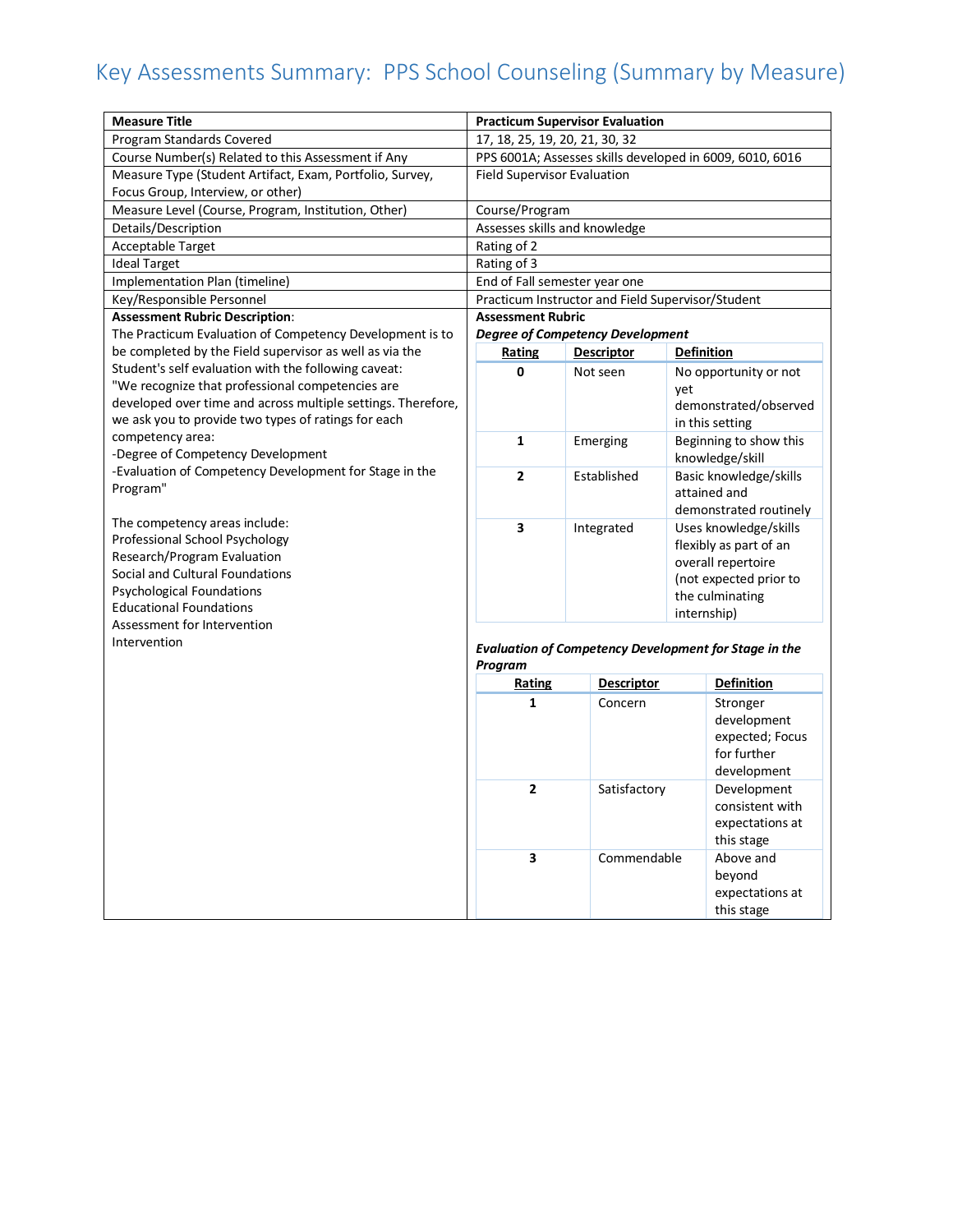## Key Assessments Summary: PPS School Counseling (Summary by Measure)

| Program Standards Covered<br>17, 18, 25, 19, 20, 21, 30, 32<br>Course Number(s) Related to this Assessment if Any<br>PPS 6001A; Assesses skills developed in 6009, 6010, 6016 |  |
|-------------------------------------------------------------------------------------------------------------------------------------------------------------------------------|--|
|                                                                                                                                                                               |  |
|                                                                                                                                                                               |  |
| Measure Type (Student Artifact, Exam, Portfolio, Survey,<br><b>Field Supervisor Evaluation</b>                                                                                |  |
| Focus Group, Interview, or other)                                                                                                                                             |  |
| Course/Program<br>Measure Level (Course, Program, Institution, Other)                                                                                                         |  |
| Assesses skills and knowledge<br>Details/Description                                                                                                                          |  |
| Acceptable Target<br>Rating of 2                                                                                                                                              |  |
| Rating of 3<br><b>Ideal Target</b>                                                                                                                                            |  |
| Implementation Plan (timeline)<br>End of Fall semester year one                                                                                                               |  |
| Key/Responsible Personnel<br>Practicum Instructor and Field Supervisor/Student                                                                                                |  |
| <b>Assessment Rubric Description:</b><br><b>Assessment Rubric</b>                                                                                                             |  |
| The Practicum Evaluation of Competency Development is to<br><b>Degree of Competency Development</b>                                                                           |  |
| be completed by the Field supervisor as well as via the<br>Rating<br><b>Descriptor</b><br><b>Definition</b>                                                                   |  |
| Student's self evaluation with the following caveat:<br>$\mathbf 0$<br>Not seen<br>No opportunity or not                                                                      |  |
| "We recognize that professional competencies are<br>yet                                                                                                                       |  |
| developed over time and across multiple settings. Therefore,<br>demonstrated/observed                                                                                         |  |
| we ask you to provide two types of ratings for each<br>in this setting                                                                                                        |  |
| competency area:<br>$\mathbf{1}$<br>Beginning to show this<br>Emerging                                                                                                        |  |
| -Degree of Competency Development<br>knowledge/skill                                                                                                                          |  |
| -Evaluation of Competency Development for Stage in the<br>2<br>Established<br>Basic knowledge/skills<br>Program"                                                              |  |
| attained and                                                                                                                                                                  |  |
| demonstrated routinely<br>The competency areas include:                                                                                                                       |  |
| 3<br>Integrated<br>Uses knowledge/skills<br>Professional School Psychology                                                                                                    |  |
| flexibly as part of an<br>Research/Program Evaluation                                                                                                                         |  |
| overall repertoire<br>Social and Cultural Foundations                                                                                                                         |  |
| (not expected prior to<br><b>Psychological Foundations</b><br>the culminating                                                                                                 |  |
| <b>Educational Foundations</b><br>internship)                                                                                                                                 |  |
| Assessment for Intervention                                                                                                                                                   |  |
| Intervention<br><b>Evaluation of Competency Development for Stage in the</b>                                                                                                  |  |
| Program                                                                                                                                                                       |  |
| <b>Descriptor</b><br><b>Definition</b><br>Rating                                                                                                                              |  |
| 1<br>Concern<br>Stronger                                                                                                                                                      |  |
| development                                                                                                                                                                   |  |
| expected; Focus                                                                                                                                                               |  |
| for further                                                                                                                                                                   |  |
| development                                                                                                                                                                   |  |
| $\overline{2}$<br>Satisfactory<br>Development                                                                                                                                 |  |
| consistent with                                                                                                                                                               |  |
| expectations at                                                                                                                                                               |  |
| this stage                                                                                                                                                                    |  |
| 3<br>Commendable<br>Above and                                                                                                                                                 |  |
| beyond                                                                                                                                                                        |  |
| expectations at                                                                                                                                                               |  |
| this stage                                                                                                                                                                    |  |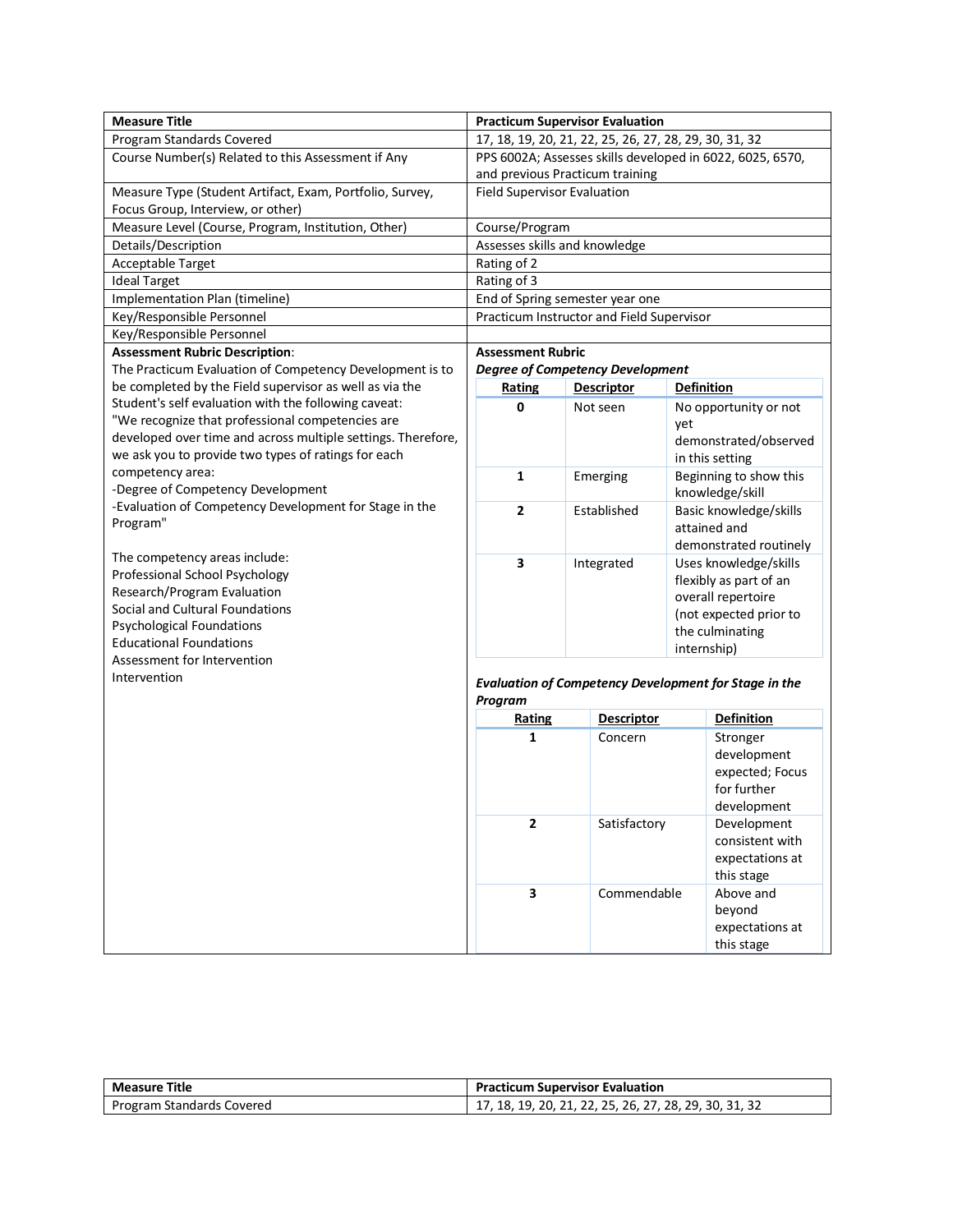| Program Standards Covered<br>17, 18, 19, 20, 21, 22, 25, 26, 27, 28, 29, 30, 31, 32<br>PPS 6002A; Assesses skills developed in 6022, 6025, 6570,<br>Course Number(s) Related to this Assessment if Any<br>and previous Practicum training<br>Measure Type (Student Artifact, Exam, Portfolio, Survey,<br><b>Field Supervisor Evaluation</b><br>Focus Group, Interview, or other)<br>Measure Level (Course, Program, Institution, Other)<br>Course/Program<br>Assesses skills and knowledge<br>Details/Description<br>Rating of 2<br>Acceptable Target<br>Rating of 3<br><b>Ideal Target</b><br>Implementation Plan (timeline)<br>End of Spring semester year one<br>Key/Responsible Personnel<br>Practicum Instructor and Field Supervisor<br>Key/Responsible Personnel<br><b>Assessment Rubric Description:</b><br><b>Assessment Rubric</b><br>The Practicum Evaluation of Competency Development is to<br><b>Degree of Competency Development</b><br>be completed by the Field supervisor as well as via the<br><b>Descriptor</b><br><b>Definition</b><br><b>Rating</b><br>Student's self evaluation with the following caveat:<br>0<br>Not seen<br>No opportunity or not<br>"We recognize that professional competencies are<br>yet<br>developed over time and across multiple settings. Therefore,<br>demonstrated/observed<br>we ask you to provide two types of ratings for each<br>in this setting<br>competency area:<br>1<br>Beginning to show this<br>Emerging<br>-Degree of Competency Development<br>knowledge/skill<br>-Evaluation of Competency Development for Stage in the<br>$\mathbf{2}$<br>Established<br>Basic knowledge/skills<br>Program"<br>attained and<br>demonstrated routinely<br>The competency areas include:<br>3<br>Integrated<br>Uses knowledge/skills<br>Professional School Psychology<br>flexibly as part of an<br>Research/Program Evaluation<br>overall repertoire<br>Social and Cultural Foundations<br>(not expected prior to<br><b>Psychological Foundations</b><br>the culminating<br><b>Educational Foundations</b><br>internship)<br>Assessment for Intervention<br>Intervention<br><b>Evaluation of Competency Development for Stage in the</b><br>Program<br><b>Descriptor</b><br><b>Definition</b><br><b>Rating</b><br>1<br>Concern<br>Stronger<br>development<br>expected; Focus<br>for further<br>development<br>$\mathbf{2}$<br>Satisfactory<br>Development<br>consistent with<br>expectations at<br>this stage<br>3<br>Commendable<br>Above and<br>beyond | <b>Measure Title</b> |  | <b>Practicum Supervisor Evaluation</b> |  |  |
|-------------------------------------------------------------------------------------------------------------------------------------------------------------------------------------------------------------------------------------------------------------------------------------------------------------------------------------------------------------------------------------------------------------------------------------------------------------------------------------------------------------------------------------------------------------------------------------------------------------------------------------------------------------------------------------------------------------------------------------------------------------------------------------------------------------------------------------------------------------------------------------------------------------------------------------------------------------------------------------------------------------------------------------------------------------------------------------------------------------------------------------------------------------------------------------------------------------------------------------------------------------------------------------------------------------------------------------------------------------------------------------------------------------------------------------------------------------------------------------------------------------------------------------------------------------------------------------------------------------------------------------------------------------------------------------------------------------------------------------------------------------------------------------------------------------------------------------------------------------------------------------------------------------------------------------------------------------------------------------------------------------------------------------------------------------------------------------------------------------------------------------------------------------------------------------------------------------------------------------------------------------------------------------------------------------------------------------------------------------------------------------------------------------------------------------------------------------------------------------------------------------|----------------------|--|----------------------------------------|--|--|
|                                                                                                                                                                                                                                                                                                                                                                                                                                                                                                                                                                                                                                                                                                                                                                                                                                                                                                                                                                                                                                                                                                                                                                                                                                                                                                                                                                                                                                                                                                                                                                                                                                                                                                                                                                                                                                                                                                                                                                                                                                                                                                                                                                                                                                                                                                                                                                                                                                                                                                             |                      |  |                                        |  |  |
|                                                                                                                                                                                                                                                                                                                                                                                                                                                                                                                                                                                                                                                                                                                                                                                                                                                                                                                                                                                                                                                                                                                                                                                                                                                                                                                                                                                                                                                                                                                                                                                                                                                                                                                                                                                                                                                                                                                                                                                                                                                                                                                                                                                                                                                                                                                                                                                                                                                                                                             |                      |  |                                        |  |  |
|                                                                                                                                                                                                                                                                                                                                                                                                                                                                                                                                                                                                                                                                                                                                                                                                                                                                                                                                                                                                                                                                                                                                                                                                                                                                                                                                                                                                                                                                                                                                                                                                                                                                                                                                                                                                                                                                                                                                                                                                                                                                                                                                                                                                                                                                                                                                                                                                                                                                                                             |                      |  |                                        |  |  |
|                                                                                                                                                                                                                                                                                                                                                                                                                                                                                                                                                                                                                                                                                                                                                                                                                                                                                                                                                                                                                                                                                                                                                                                                                                                                                                                                                                                                                                                                                                                                                                                                                                                                                                                                                                                                                                                                                                                                                                                                                                                                                                                                                                                                                                                                                                                                                                                                                                                                                                             |                      |  |                                        |  |  |
|                                                                                                                                                                                                                                                                                                                                                                                                                                                                                                                                                                                                                                                                                                                                                                                                                                                                                                                                                                                                                                                                                                                                                                                                                                                                                                                                                                                                                                                                                                                                                                                                                                                                                                                                                                                                                                                                                                                                                                                                                                                                                                                                                                                                                                                                                                                                                                                                                                                                                                             |                      |  |                                        |  |  |
|                                                                                                                                                                                                                                                                                                                                                                                                                                                                                                                                                                                                                                                                                                                                                                                                                                                                                                                                                                                                                                                                                                                                                                                                                                                                                                                                                                                                                                                                                                                                                                                                                                                                                                                                                                                                                                                                                                                                                                                                                                                                                                                                                                                                                                                                                                                                                                                                                                                                                                             |                      |  |                                        |  |  |
|                                                                                                                                                                                                                                                                                                                                                                                                                                                                                                                                                                                                                                                                                                                                                                                                                                                                                                                                                                                                                                                                                                                                                                                                                                                                                                                                                                                                                                                                                                                                                                                                                                                                                                                                                                                                                                                                                                                                                                                                                                                                                                                                                                                                                                                                                                                                                                                                                                                                                                             |                      |  |                                        |  |  |
|                                                                                                                                                                                                                                                                                                                                                                                                                                                                                                                                                                                                                                                                                                                                                                                                                                                                                                                                                                                                                                                                                                                                                                                                                                                                                                                                                                                                                                                                                                                                                                                                                                                                                                                                                                                                                                                                                                                                                                                                                                                                                                                                                                                                                                                                                                                                                                                                                                                                                                             |                      |  |                                        |  |  |
|                                                                                                                                                                                                                                                                                                                                                                                                                                                                                                                                                                                                                                                                                                                                                                                                                                                                                                                                                                                                                                                                                                                                                                                                                                                                                                                                                                                                                                                                                                                                                                                                                                                                                                                                                                                                                                                                                                                                                                                                                                                                                                                                                                                                                                                                                                                                                                                                                                                                                                             |                      |  |                                        |  |  |
|                                                                                                                                                                                                                                                                                                                                                                                                                                                                                                                                                                                                                                                                                                                                                                                                                                                                                                                                                                                                                                                                                                                                                                                                                                                                                                                                                                                                                                                                                                                                                                                                                                                                                                                                                                                                                                                                                                                                                                                                                                                                                                                                                                                                                                                                                                                                                                                                                                                                                                             |                      |  |                                        |  |  |
|                                                                                                                                                                                                                                                                                                                                                                                                                                                                                                                                                                                                                                                                                                                                                                                                                                                                                                                                                                                                                                                                                                                                                                                                                                                                                                                                                                                                                                                                                                                                                                                                                                                                                                                                                                                                                                                                                                                                                                                                                                                                                                                                                                                                                                                                                                                                                                                                                                                                                                             |                      |  |                                        |  |  |
|                                                                                                                                                                                                                                                                                                                                                                                                                                                                                                                                                                                                                                                                                                                                                                                                                                                                                                                                                                                                                                                                                                                                                                                                                                                                                                                                                                                                                                                                                                                                                                                                                                                                                                                                                                                                                                                                                                                                                                                                                                                                                                                                                                                                                                                                                                                                                                                                                                                                                                             |                      |  |                                        |  |  |
|                                                                                                                                                                                                                                                                                                                                                                                                                                                                                                                                                                                                                                                                                                                                                                                                                                                                                                                                                                                                                                                                                                                                                                                                                                                                                                                                                                                                                                                                                                                                                                                                                                                                                                                                                                                                                                                                                                                                                                                                                                                                                                                                                                                                                                                                                                                                                                                                                                                                                                             |                      |  |                                        |  |  |
|                                                                                                                                                                                                                                                                                                                                                                                                                                                                                                                                                                                                                                                                                                                                                                                                                                                                                                                                                                                                                                                                                                                                                                                                                                                                                                                                                                                                                                                                                                                                                                                                                                                                                                                                                                                                                                                                                                                                                                                                                                                                                                                                                                                                                                                                                                                                                                                                                                                                                                             |                      |  |                                        |  |  |
|                                                                                                                                                                                                                                                                                                                                                                                                                                                                                                                                                                                                                                                                                                                                                                                                                                                                                                                                                                                                                                                                                                                                                                                                                                                                                                                                                                                                                                                                                                                                                                                                                                                                                                                                                                                                                                                                                                                                                                                                                                                                                                                                                                                                                                                                                                                                                                                                                                                                                                             |                      |  |                                        |  |  |
|                                                                                                                                                                                                                                                                                                                                                                                                                                                                                                                                                                                                                                                                                                                                                                                                                                                                                                                                                                                                                                                                                                                                                                                                                                                                                                                                                                                                                                                                                                                                                                                                                                                                                                                                                                                                                                                                                                                                                                                                                                                                                                                                                                                                                                                                                                                                                                                                                                                                                                             |                      |  |                                        |  |  |
|                                                                                                                                                                                                                                                                                                                                                                                                                                                                                                                                                                                                                                                                                                                                                                                                                                                                                                                                                                                                                                                                                                                                                                                                                                                                                                                                                                                                                                                                                                                                                                                                                                                                                                                                                                                                                                                                                                                                                                                                                                                                                                                                                                                                                                                                                                                                                                                                                                                                                                             |                      |  |                                        |  |  |
|                                                                                                                                                                                                                                                                                                                                                                                                                                                                                                                                                                                                                                                                                                                                                                                                                                                                                                                                                                                                                                                                                                                                                                                                                                                                                                                                                                                                                                                                                                                                                                                                                                                                                                                                                                                                                                                                                                                                                                                                                                                                                                                                                                                                                                                                                                                                                                                                                                                                                                             |                      |  |                                        |  |  |
|                                                                                                                                                                                                                                                                                                                                                                                                                                                                                                                                                                                                                                                                                                                                                                                                                                                                                                                                                                                                                                                                                                                                                                                                                                                                                                                                                                                                                                                                                                                                                                                                                                                                                                                                                                                                                                                                                                                                                                                                                                                                                                                                                                                                                                                                                                                                                                                                                                                                                                             |                      |  |                                        |  |  |
|                                                                                                                                                                                                                                                                                                                                                                                                                                                                                                                                                                                                                                                                                                                                                                                                                                                                                                                                                                                                                                                                                                                                                                                                                                                                                                                                                                                                                                                                                                                                                                                                                                                                                                                                                                                                                                                                                                                                                                                                                                                                                                                                                                                                                                                                                                                                                                                                                                                                                                             |                      |  |                                        |  |  |
|                                                                                                                                                                                                                                                                                                                                                                                                                                                                                                                                                                                                                                                                                                                                                                                                                                                                                                                                                                                                                                                                                                                                                                                                                                                                                                                                                                                                                                                                                                                                                                                                                                                                                                                                                                                                                                                                                                                                                                                                                                                                                                                                                                                                                                                                                                                                                                                                                                                                                                             |                      |  |                                        |  |  |
|                                                                                                                                                                                                                                                                                                                                                                                                                                                                                                                                                                                                                                                                                                                                                                                                                                                                                                                                                                                                                                                                                                                                                                                                                                                                                                                                                                                                                                                                                                                                                                                                                                                                                                                                                                                                                                                                                                                                                                                                                                                                                                                                                                                                                                                                                                                                                                                                                                                                                                             |                      |  |                                        |  |  |
|                                                                                                                                                                                                                                                                                                                                                                                                                                                                                                                                                                                                                                                                                                                                                                                                                                                                                                                                                                                                                                                                                                                                                                                                                                                                                                                                                                                                                                                                                                                                                                                                                                                                                                                                                                                                                                                                                                                                                                                                                                                                                                                                                                                                                                                                                                                                                                                                                                                                                                             |                      |  |                                        |  |  |
|                                                                                                                                                                                                                                                                                                                                                                                                                                                                                                                                                                                                                                                                                                                                                                                                                                                                                                                                                                                                                                                                                                                                                                                                                                                                                                                                                                                                                                                                                                                                                                                                                                                                                                                                                                                                                                                                                                                                                                                                                                                                                                                                                                                                                                                                                                                                                                                                                                                                                                             |                      |  |                                        |  |  |
|                                                                                                                                                                                                                                                                                                                                                                                                                                                                                                                                                                                                                                                                                                                                                                                                                                                                                                                                                                                                                                                                                                                                                                                                                                                                                                                                                                                                                                                                                                                                                                                                                                                                                                                                                                                                                                                                                                                                                                                                                                                                                                                                                                                                                                                                                                                                                                                                                                                                                                             |                      |  |                                        |  |  |
|                                                                                                                                                                                                                                                                                                                                                                                                                                                                                                                                                                                                                                                                                                                                                                                                                                                                                                                                                                                                                                                                                                                                                                                                                                                                                                                                                                                                                                                                                                                                                                                                                                                                                                                                                                                                                                                                                                                                                                                                                                                                                                                                                                                                                                                                                                                                                                                                                                                                                                             |                      |  |                                        |  |  |
|                                                                                                                                                                                                                                                                                                                                                                                                                                                                                                                                                                                                                                                                                                                                                                                                                                                                                                                                                                                                                                                                                                                                                                                                                                                                                                                                                                                                                                                                                                                                                                                                                                                                                                                                                                                                                                                                                                                                                                                                                                                                                                                                                                                                                                                                                                                                                                                                                                                                                                             |                      |  |                                        |  |  |
|                                                                                                                                                                                                                                                                                                                                                                                                                                                                                                                                                                                                                                                                                                                                                                                                                                                                                                                                                                                                                                                                                                                                                                                                                                                                                                                                                                                                                                                                                                                                                                                                                                                                                                                                                                                                                                                                                                                                                                                                                                                                                                                                                                                                                                                                                                                                                                                                                                                                                                             |                      |  |                                        |  |  |
|                                                                                                                                                                                                                                                                                                                                                                                                                                                                                                                                                                                                                                                                                                                                                                                                                                                                                                                                                                                                                                                                                                                                                                                                                                                                                                                                                                                                                                                                                                                                                                                                                                                                                                                                                                                                                                                                                                                                                                                                                                                                                                                                                                                                                                                                                                                                                                                                                                                                                                             |                      |  |                                        |  |  |
|                                                                                                                                                                                                                                                                                                                                                                                                                                                                                                                                                                                                                                                                                                                                                                                                                                                                                                                                                                                                                                                                                                                                                                                                                                                                                                                                                                                                                                                                                                                                                                                                                                                                                                                                                                                                                                                                                                                                                                                                                                                                                                                                                                                                                                                                                                                                                                                                                                                                                                             |                      |  |                                        |  |  |
|                                                                                                                                                                                                                                                                                                                                                                                                                                                                                                                                                                                                                                                                                                                                                                                                                                                                                                                                                                                                                                                                                                                                                                                                                                                                                                                                                                                                                                                                                                                                                                                                                                                                                                                                                                                                                                                                                                                                                                                                                                                                                                                                                                                                                                                                                                                                                                                                                                                                                                             |                      |  |                                        |  |  |
|                                                                                                                                                                                                                                                                                                                                                                                                                                                                                                                                                                                                                                                                                                                                                                                                                                                                                                                                                                                                                                                                                                                                                                                                                                                                                                                                                                                                                                                                                                                                                                                                                                                                                                                                                                                                                                                                                                                                                                                                                                                                                                                                                                                                                                                                                                                                                                                                                                                                                                             |                      |  |                                        |  |  |
|                                                                                                                                                                                                                                                                                                                                                                                                                                                                                                                                                                                                                                                                                                                                                                                                                                                                                                                                                                                                                                                                                                                                                                                                                                                                                                                                                                                                                                                                                                                                                                                                                                                                                                                                                                                                                                                                                                                                                                                                                                                                                                                                                                                                                                                                                                                                                                                                                                                                                                             |                      |  |                                        |  |  |
|                                                                                                                                                                                                                                                                                                                                                                                                                                                                                                                                                                                                                                                                                                                                                                                                                                                                                                                                                                                                                                                                                                                                                                                                                                                                                                                                                                                                                                                                                                                                                                                                                                                                                                                                                                                                                                                                                                                                                                                                                                                                                                                                                                                                                                                                                                                                                                                                                                                                                                             |                      |  |                                        |  |  |
|                                                                                                                                                                                                                                                                                                                                                                                                                                                                                                                                                                                                                                                                                                                                                                                                                                                                                                                                                                                                                                                                                                                                                                                                                                                                                                                                                                                                                                                                                                                                                                                                                                                                                                                                                                                                                                                                                                                                                                                                                                                                                                                                                                                                                                                                                                                                                                                                                                                                                                             |                      |  |                                        |  |  |
|                                                                                                                                                                                                                                                                                                                                                                                                                                                                                                                                                                                                                                                                                                                                                                                                                                                                                                                                                                                                                                                                                                                                                                                                                                                                                                                                                                                                                                                                                                                                                                                                                                                                                                                                                                                                                                                                                                                                                                                                                                                                                                                                                                                                                                                                                                                                                                                                                                                                                                             |                      |  |                                        |  |  |
|                                                                                                                                                                                                                                                                                                                                                                                                                                                                                                                                                                                                                                                                                                                                                                                                                                                                                                                                                                                                                                                                                                                                                                                                                                                                                                                                                                                                                                                                                                                                                                                                                                                                                                                                                                                                                                                                                                                                                                                                                                                                                                                                                                                                                                                                                                                                                                                                                                                                                                             |                      |  |                                        |  |  |
|                                                                                                                                                                                                                                                                                                                                                                                                                                                                                                                                                                                                                                                                                                                                                                                                                                                                                                                                                                                                                                                                                                                                                                                                                                                                                                                                                                                                                                                                                                                                                                                                                                                                                                                                                                                                                                                                                                                                                                                                                                                                                                                                                                                                                                                                                                                                                                                                                                                                                                             |                      |  |                                        |  |  |
|                                                                                                                                                                                                                                                                                                                                                                                                                                                                                                                                                                                                                                                                                                                                                                                                                                                                                                                                                                                                                                                                                                                                                                                                                                                                                                                                                                                                                                                                                                                                                                                                                                                                                                                                                                                                                                                                                                                                                                                                                                                                                                                                                                                                                                                                                                                                                                                                                                                                                                             |                      |  |                                        |  |  |
|                                                                                                                                                                                                                                                                                                                                                                                                                                                                                                                                                                                                                                                                                                                                                                                                                                                                                                                                                                                                                                                                                                                                                                                                                                                                                                                                                                                                                                                                                                                                                                                                                                                                                                                                                                                                                                                                                                                                                                                                                                                                                                                                                                                                                                                                                                                                                                                                                                                                                                             |                      |  |                                        |  |  |
|                                                                                                                                                                                                                                                                                                                                                                                                                                                                                                                                                                                                                                                                                                                                                                                                                                                                                                                                                                                                                                                                                                                                                                                                                                                                                                                                                                                                                                                                                                                                                                                                                                                                                                                                                                                                                                                                                                                                                                                                                                                                                                                                                                                                                                                                                                                                                                                                                                                                                                             |                      |  |                                        |  |  |
|                                                                                                                                                                                                                                                                                                                                                                                                                                                                                                                                                                                                                                                                                                                                                                                                                                                                                                                                                                                                                                                                                                                                                                                                                                                                                                                                                                                                                                                                                                                                                                                                                                                                                                                                                                                                                                                                                                                                                                                                                                                                                                                                                                                                                                                                                                                                                                                                                                                                                                             |                      |  |                                        |  |  |
|                                                                                                                                                                                                                                                                                                                                                                                                                                                                                                                                                                                                                                                                                                                                                                                                                                                                                                                                                                                                                                                                                                                                                                                                                                                                                                                                                                                                                                                                                                                                                                                                                                                                                                                                                                                                                                                                                                                                                                                                                                                                                                                                                                                                                                                                                                                                                                                                                                                                                                             |                      |  |                                        |  |  |
|                                                                                                                                                                                                                                                                                                                                                                                                                                                                                                                                                                                                                                                                                                                                                                                                                                                                                                                                                                                                                                                                                                                                                                                                                                                                                                                                                                                                                                                                                                                                                                                                                                                                                                                                                                                                                                                                                                                                                                                                                                                                                                                                                                                                                                                                                                                                                                                                                                                                                                             |                      |  |                                        |  |  |
|                                                                                                                                                                                                                                                                                                                                                                                                                                                                                                                                                                                                                                                                                                                                                                                                                                                                                                                                                                                                                                                                                                                                                                                                                                                                                                                                                                                                                                                                                                                                                                                                                                                                                                                                                                                                                                                                                                                                                                                                                                                                                                                                                                                                                                                                                                                                                                                                                                                                                                             |                      |  |                                        |  |  |
| expectations at<br>this stage                                                                                                                                                                                                                                                                                                                                                                                                                                                                                                                                                                                                                                                                                                                                                                                                                                                                                                                                                                                                                                                                                                                                                                                                                                                                                                                                                                                                                                                                                                                                                                                                                                                                                                                                                                                                                                                                                                                                                                                                                                                                                                                                                                                                                                                                                                                                                                                                                                                                               |                      |  |                                        |  |  |

| <b>Measure Title</b>      | <b>Practicum Supervisor Evaluation</b>                 |
|---------------------------|--------------------------------------------------------|
| Program Standards Covered | 17, 18, 19, 20, 21, 22, 25, 26, 27, 28, 29, 30, 31, 32 |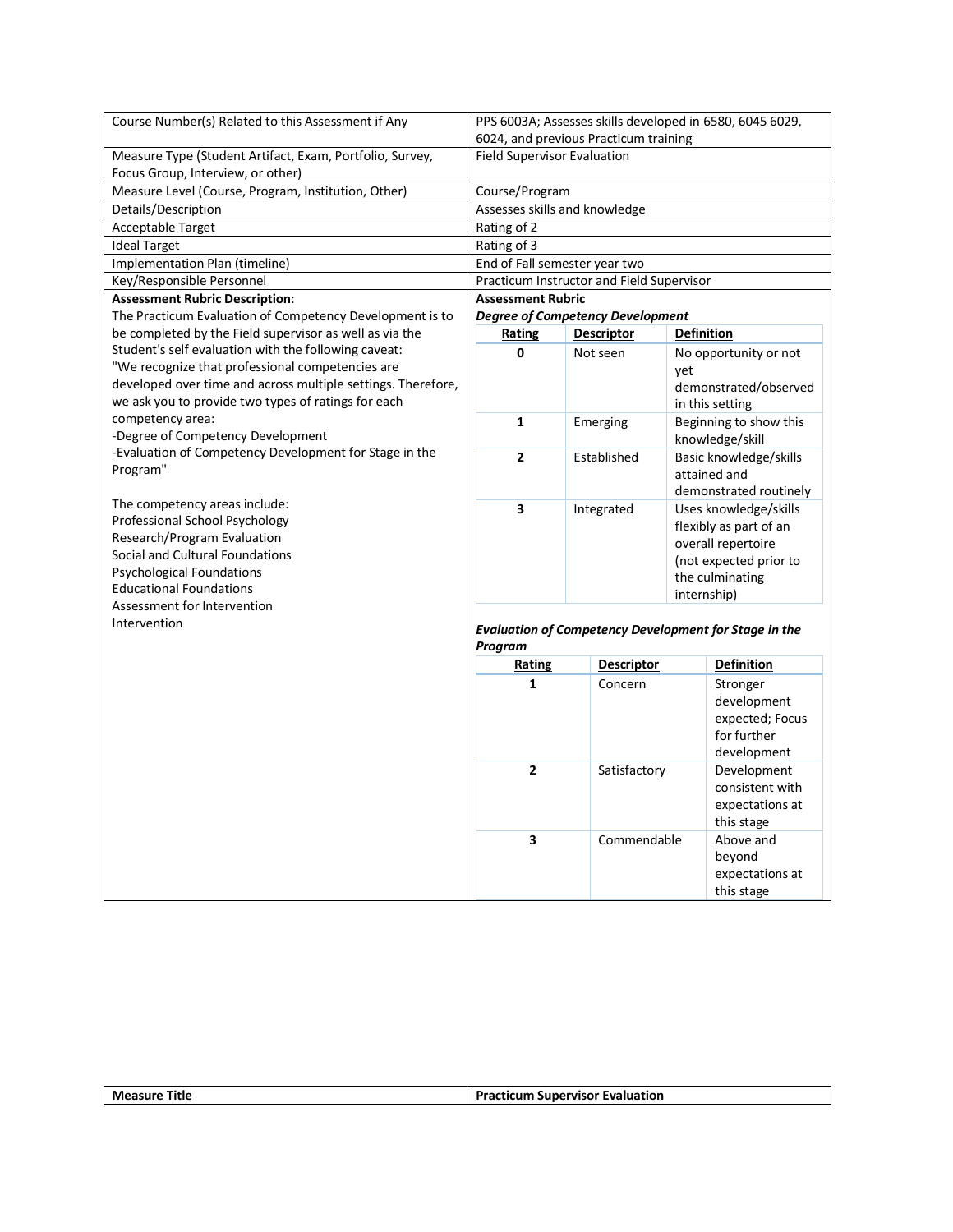| Course Number(s) Related to this Assessment if Any                  |                                    | PPS 6003A; Assesses skills developed in 6580, 6045 6029,     |                   |                        |
|---------------------------------------------------------------------|------------------------------------|--------------------------------------------------------------|-------------------|------------------------|
|                                                                     |                                    | 6024, and previous Practicum training                        |                   |                        |
| Measure Type (Student Artifact, Exam, Portfolio, Survey,            | <b>Field Supervisor Evaluation</b> |                                                              |                   |                        |
| Focus Group, Interview, or other)                                   |                                    |                                                              |                   |                        |
| Measure Level (Course, Program, Institution, Other)                 | Course/Program                     |                                                              |                   |                        |
| Details/Description                                                 |                                    | Assesses skills and knowledge                                |                   |                        |
| Acceptable Target                                                   | Rating of 2                        |                                                              |                   |                        |
| <b>Ideal Target</b>                                                 | Rating of 3                        |                                                              |                   |                        |
| Implementation Plan (timeline)                                      |                                    | End of Fall semester year two                                |                   |                        |
| Key/Responsible Personnel                                           |                                    | Practicum Instructor and Field Supervisor                    |                   |                        |
| <b>Assessment Rubric Description:</b>                               | <b>Assessment Rubric</b>           |                                                              |                   |                        |
| The Practicum Evaluation of Competency Development is to            |                                    | <b>Degree of Competency Development</b>                      |                   |                        |
| be completed by the Field supervisor as well as via the             | <b>Rating</b>                      | <b>Descriptor</b>                                            | <b>Definition</b> |                        |
| Student's self evaluation with the following caveat:                | 0                                  | Not seen                                                     |                   | No opportunity or not  |
| "We recognize that professional competencies are                    |                                    |                                                              | yet               |                        |
| developed over time and across multiple settings. Therefore,        |                                    |                                                              |                   | demonstrated/observed  |
| we ask you to provide two types of ratings for each                 |                                    |                                                              |                   | in this setting        |
| competency area:                                                    | $\mathbf{1}$                       | Emerging                                                     |                   | Beginning to show this |
| -Degree of Competency Development                                   |                                    |                                                              |                   | knowledge/skill        |
| -Evaluation of Competency Development for Stage in the              | $\overline{2}$                     | Established                                                  |                   | Basic knowledge/skills |
| Program"                                                            |                                    |                                                              |                   | attained and           |
|                                                                     |                                    |                                                              |                   | demonstrated routinely |
| The competency areas include:                                       | 3                                  | Integrated                                                   |                   | Uses knowledge/skills  |
| Professional School Psychology                                      |                                    |                                                              |                   | flexibly as part of an |
| Research/Program Evaluation                                         |                                    |                                                              |                   | overall repertoire     |
| Social and Cultural Foundations<br><b>Psychological Foundations</b> |                                    |                                                              |                   | (not expected prior to |
| <b>Educational Foundations</b>                                      |                                    |                                                              |                   | the culminating        |
| Assessment for Intervention                                         |                                    |                                                              | internship)       |                        |
| Intervention                                                        |                                    |                                                              |                   |                        |
|                                                                     |                                    | <b>Evaluation of Competency Development for Stage in the</b> |                   |                        |
|                                                                     | Program                            |                                                              |                   |                        |
|                                                                     | <b>Rating</b>                      | <b>Descriptor</b>                                            |                   | <b>Definition</b>      |
|                                                                     | $\mathbf{1}$                       | Concern                                                      |                   | Stronger               |
|                                                                     |                                    |                                                              |                   | development            |
|                                                                     |                                    |                                                              |                   | expected; Focus        |
|                                                                     |                                    |                                                              |                   | for further            |
|                                                                     |                                    |                                                              |                   | development            |
|                                                                     | $\overline{2}$                     | Satisfactory                                                 |                   | Development            |
|                                                                     |                                    |                                                              |                   | consistent with        |
|                                                                     |                                    |                                                              |                   | expectations at        |
|                                                                     |                                    |                                                              |                   | this stage             |
|                                                                     | 3                                  | Commendable                                                  |                   | Above and              |
|                                                                     |                                    |                                                              |                   | beyond                 |
|                                                                     |                                    |                                                              |                   | expectations at        |
|                                                                     |                                    |                                                              |                   | this stage             |

| Me:<br>Title<br>asurr<br>__ | Dro-<br><b>valuation</b><br>.<br>.<br>sinr<br>∴חריי יח<br>∶uπ<br>. |
|-----------------------------|--------------------------------------------------------------------|
|                             |                                                                    |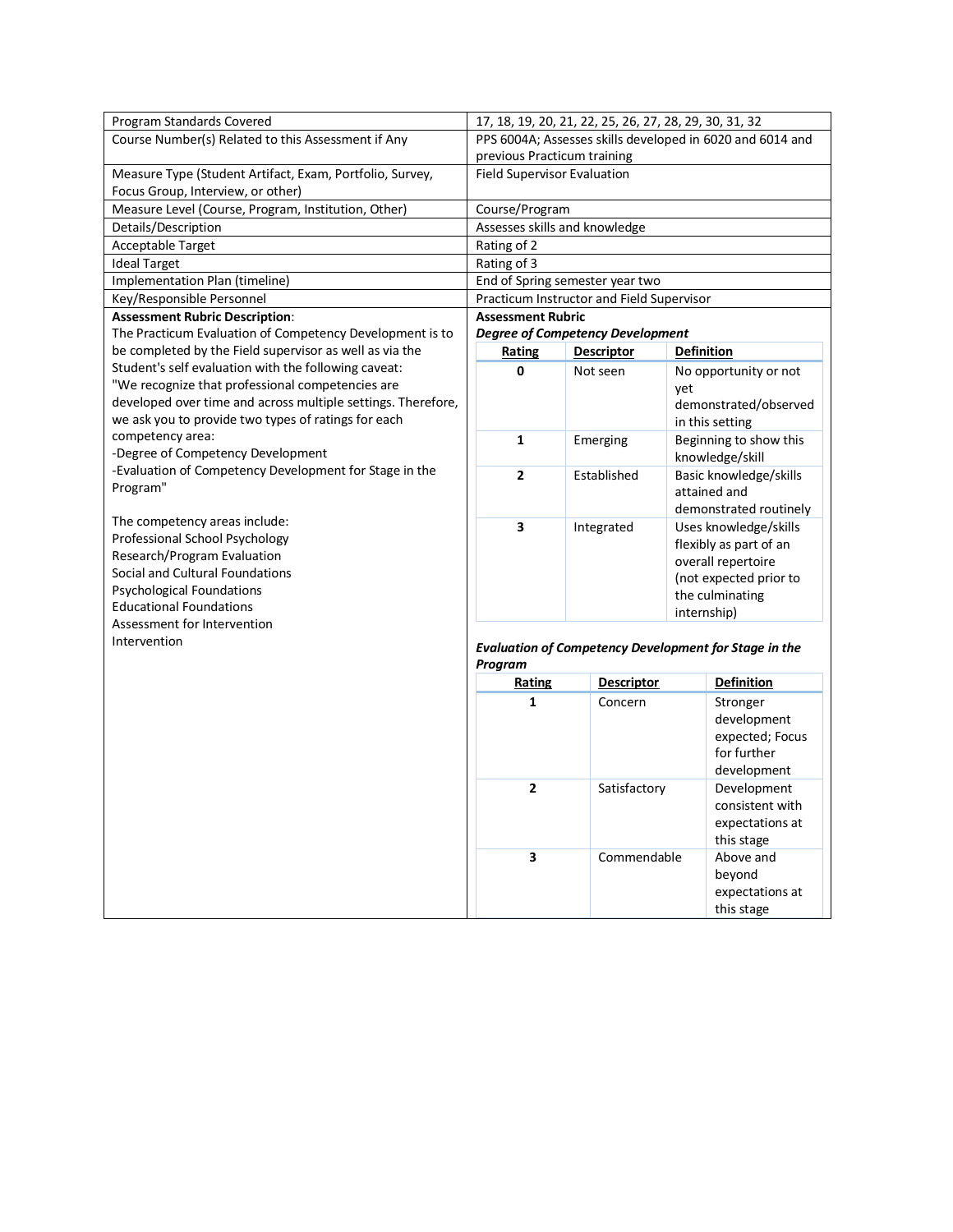| Program Standards Covered                                                                                           |                                    | 17, 18, 19, 20, 21, 22, 25, 26, 27, 28, 29, 30, 31, 32 |                                                              |  |
|---------------------------------------------------------------------------------------------------------------------|------------------------------------|--------------------------------------------------------|--------------------------------------------------------------|--|
| Course Number(s) Related to this Assessment if Any                                                                  |                                    |                                                        | PPS 6004A; Assesses skills developed in 6020 and 6014 and    |  |
|                                                                                                                     | previous Practicum training        |                                                        |                                                              |  |
| Measure Type (Student Artifact, Exam, Portfolio, Survey,                                                            | <b>Field Supervisor Evaluation</b> |                                                        |                                                              |  |
| Focus Group, Interview, or other)                                                                                   |                                    |                                                        |                                                              |  |
| Measure Level (Course, Program, Institution, Other)                                                                 | Course/Program                     |                                                        |                                                              |  |
| Details/Description                                                                                                 | Assesses skills and knowledge      |                                                        |                                                              |  |
| Acceptable Target                                                                                                   | Rating of 2                        |                                                        |                                                              |  |
| <b>Ideal Target</b>                                                                                                 | Rating of 3                        |                                                        |                                                              |  |
| Implementation Plan (timeline)                                                                                      |                                    | End of Spring semester year two                        |                                                              |  |
| Key/Responsible Personnel                                                                                           |                                    | Practicum Instructor and Field Supervisor              |                                                              |  |
| <b>Assessment Rubric Description:</b>                                                                               | <b>Assessment Rubric</b>           |                                                        |                                                              |  |
| The Practicum Evaluation of Competency Development is to                                                            |                                    | <b>Degree of Competency Development</b>                |                                                              |  |
| be completed by the Field supervisor as well as via the                                                             | Rating                             | <b>Descriptor</b>                                      | <b>Definition</b>                                            |  |
| Student's self evaluation with the following caveat:                                                                | 0                                  | Not seen                                               | No opportunity or not                                        |  |
| "We recognize that professional competencies are                                                                    |                                    |                                                        | vet                                                          |  |
| developed over time and across multiple settings. Therefore,<br>we ask you to provide two types of ratings for each |                                    |                                                        | demonstrated/observed                                        |  |
| competency area:                                                                                                    |                                    |                                                        | in this setting                                              |  |
| -Degree of Competency Development                                                                                   | $\mathbf{1}$                       | Emerging                                               | Beginning to show this                                       |  |
| -Evaluation of Competency Development for Stage in the                                                              | $\overline{2}$                     |                                                        | knowledge/skill                                              |  |
| Program"                                                                                                            |                                    | Established                                            | Basic knowledge/skills<br>attained and                       |  |
|                                                                                                                     |                                    |                                                        | demonstrated routinely                                       |  |
| The competency areas include:                                                                                       | 3                                  | Integrated                                             | Uses knowledge/skills                                        |  |
| Professional School Psychology                                                                                      |                                    |                                                        | flexibly as part of an                                       |  |
| Research/Program Evaluation                                                                                         |                                    |                                                        | overall repertoire                                           |  |
| Social and Cultural Foundations                                                                                     |                                    |                                                        | (not expected prior to                                       |  |
| <b>Psychological Foundations</b>                                                                                    |                                    |                                                        | the culminating                                              |  |
| <b>Educational Foundations</b>                                                                                      |                                    |                                                        | internship)                                                  |  |
| Assessment for Intervention                                                                                         |                                    |                                                        |                                                              |  |
| Intervention                                                                                                        |                                    |                                                        | <b>Evaluation of Competency Development for Stage in the</b> |  |
|                                                                                                                     | Program                            |                                                        |                                                              |  |
|                                                                                                                     | Rating                             | <b>Descriptor</b>                                      | <b>Definition</b>                                            |  |
|                                                                                                                     | $\mathbf{1}$                       | Concern                                                | Stronger                                                     |  |
|                                                                                                                     |                                    |                                                        | development                                                  |  |
|                                                                                                                     |                                    |                                                        | expected; Focus                                              |  |
|                                                                                                                     |                                    |                                                        | for further                                                  |  |
|                                                                                                                     |                                    |                                                        | development                                                  |  |
|                                                                                                                     | $\overline{2}$                     | Satisfactory                                           | Development                                                  |  |
|                                                                                                                     |                                    |                                                        | consistent with                                              |  |
|                                                                                                                     |                                    |                                                        | expectations at                                              |  |
|                                                                                                                     |                                    |                                                        | this stage                                                   |  |
|                                                                                                                     | 3                                  | Commendable                                            | Above and                                                    |  |
|                                                                                                                     |                                    |                                                        | beyond                                                       |  |
|                                                                                                                     |                                    |                                                        | expectations at                                              |  |
|                                                                                                                     |                                    |                                                        | this stage                                                   |  |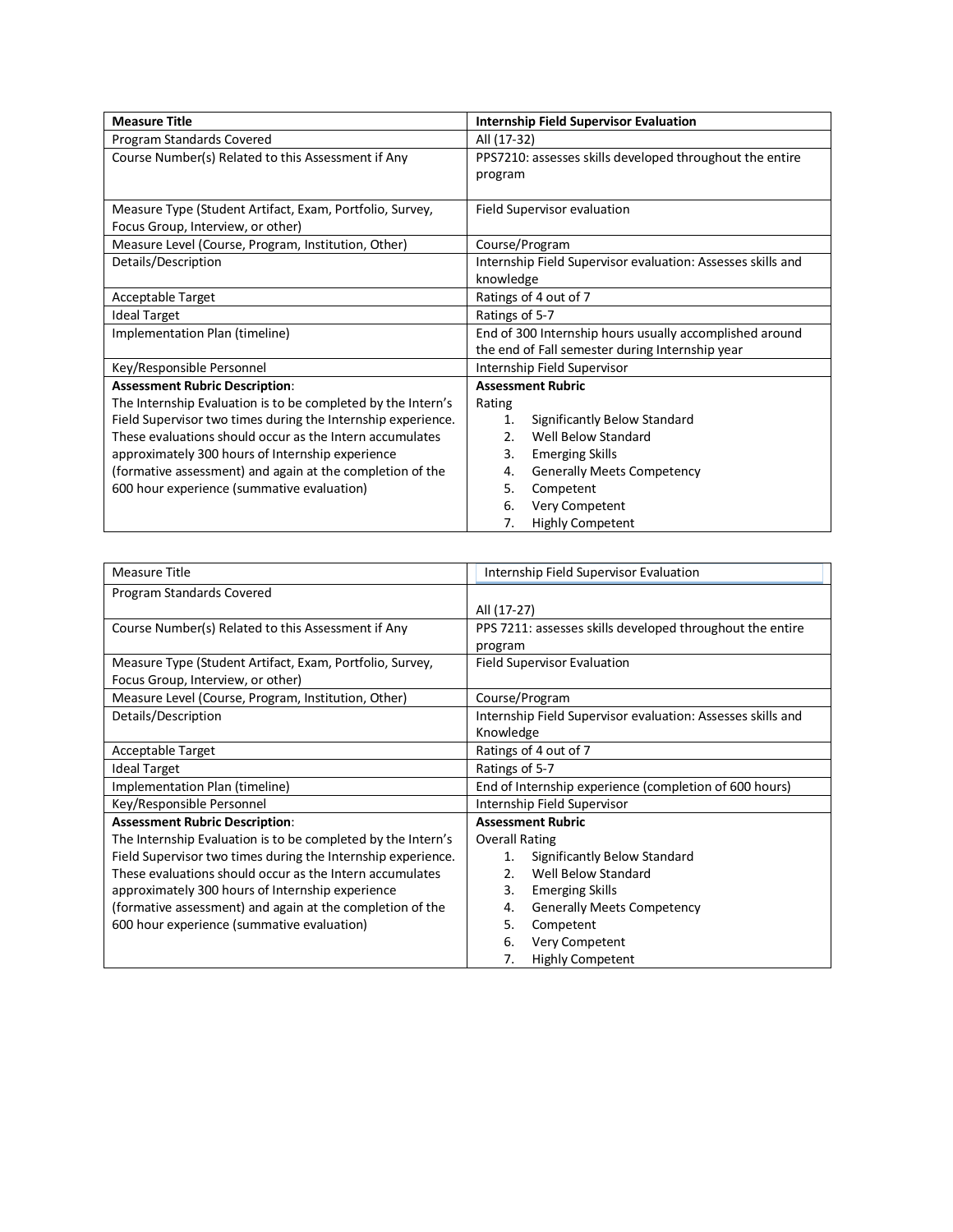| <b>Measure Title</b>                                         | <b>Internship Field Supervisor Evaluation</b>               |  |
|--------------------------------------------------------------|-------------------------------------------------------------|--|
| Program Standards Covered                                    | All (17-32)                                                 |  |
| Course Number(s) Related to this Assessment if Any           | PPS7210: assesses skills developed throughout the entire    |  |
|                                                              | program                                                     |  |
|                                                              |                                                             |  |
| Measure Type (Student Artifact, Exam, Portfolio, Survey,     | Field Supervisor evaluation                                 |  |
| Focus Group, Interview, or other)                            |                                                             |  |
| Measure Level (Course, Program, Institution, Other)          | Course/Program                                              |  |
| Details/Description                                          | Internship Field Supervisor evaluation: Assesses skills and |  |
|                                                              | knowledge                                                   |  |
| <b>Acceptable Target</b>                                     | Ratings of 4 out of 7                                       |  |
| <b>Ideal Target</b>                                          | Ratings of 5-7                                              |  |
| Implementation Plan (timeline)                               | End of 300 Internship hours usually accomplished around     |  |
|                                                              | the end of Fall semester during Internship year             |  |
| Key/Responsible Personnel                                    | Internship Field Supervisor                                 |  |
| <b>Assessment Rubric Description:</b>                        | <b>Assessment Rubric</b>                                    |  |
| The Internship Evaluation is to be completed by the Intern's | Rating                                                      |  |
| Field Supervisor two times during the Internship experience. | Significantly Below Standard<br>1.                          |  |
| These evaluations should occur as the Intern accumulates     | 2.<br>Well Below Standard                                   |  |
| approximately 300 hours of Internship experience             | 3.<br><b>Emerging Skills</b>                                |  |
| (formative assessment) and again at the completion of the    | <b>Generally Meets Competency</b><br>4.                     |  |
| 600 hour experience (summative evaluation)                   | 5.<br>Competent                                             |  |
|                                                              | 6.<br>Very Competent                                        |  |
|                                                              | 7.<br><b>Highly Competent</b>                               |  |

| <b>Measure Title</b>                                         | Internship Field Supervisor Evaluation                      |
|--------------------------------------------------------------|-------------------------------------------------------------|
| Program Standards Covered                                    |                                                             |
|                                                              | All (17-27)                                                 |
| Course Number(s) Related to this Assessment if Any           | PPS 7211: assesses skills developed throughout the entire   |
|                                                              | program                                                     |
| Measure Type (Student Artifact, Exam, Portfolio, Survey,     | <b>Field Supervisor Evaluation</b>                          |
| Focus Group, Interview, or other)                            |                                                             |
| Measure Level (Course, Program, Institution, Other)          | Course/Program                                              |
| Details/Description                                          | Internship Field Supervisor evaluation: Assesses skills and |
|                                                              | Knowledge                                                   |
| <b>Acceptable Target</b>                                     | Ratings of 4 out of 7                                       |
| <b>Ideal Target</b>                                          | Ratings of 5-7                                              |
| Implementation Plan (timeline)                               | End of Internship experience (completion of 600 hours)      |
| Key/Responsible Personnel                                    | Internship Field Supervisor                                 |
| <b>Assessment Rubric Description:</b>                        | <b>Assessment Rubric</b>                                    |
| The Internship Evaluation is to be completed by the Intern's | <b>Overall Rating</b>                                       |
| Field Supervisor two times during the Internship experience. | Significantly Below Standard<br>1.                          |
| These evaluations should occur as the Intern accumulates     | Well Below Standard<br>2.5                                  |
| approximately 300 hours of Internship experience             | 3.<br><b>Emerging Skills</b>                                |
| (formative assessment) and again at the completion of the    | <b>Generally Meets Competency</b><br>4.                     |
| 600 hour experience (summative evaluation)                   | 5.<br>Competent                                             |
|                                                              | Very Competent<br>6.                                        |
|                                                              | <b>Highly Competent</b><br>7.                               |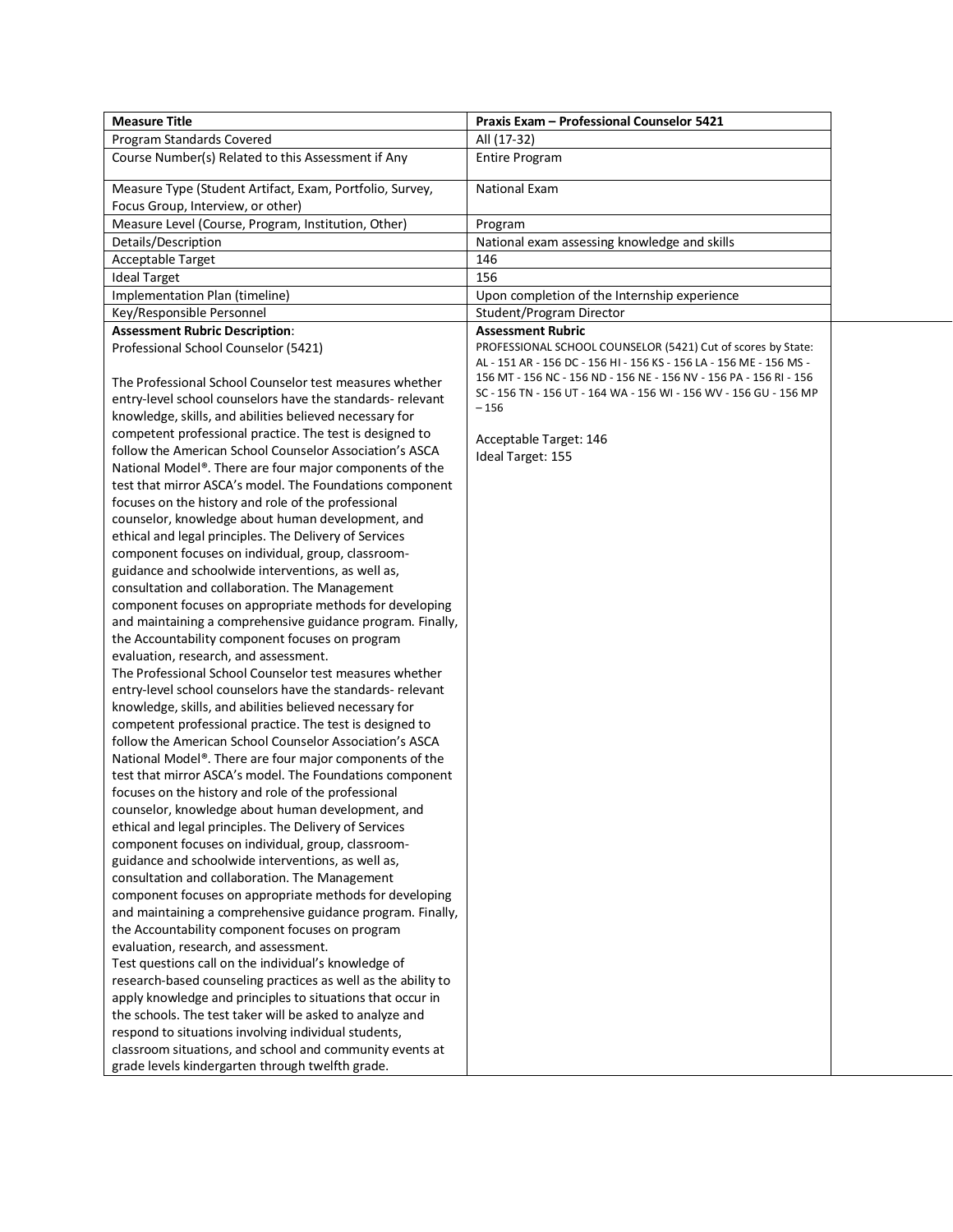| <b>Measure Title</b>                                                                                                  | Praxis Exam - Professional Counselor 5421                                   |  |
|-----------------------------------------------------------------------------------------------------------------------|-----------------------------------------------------------------------------|--|
| Program Standards Covered                                                                                             | All (17-32)                                                                 |  |
| Course Number(s) Related to this Assessment if Any                                                                    | <b>Entire Program</b>                                                       |  |
| Measure Type (Student Artifact, Exam, Portfolio, Survey,<br>Focus Group, Interview, or other)                         | <b>National Exam</b>                                                        |  |
| Measure Level (Course, Program, Institution, Other)                                                                   | Program                                                                     |  |
| Details/Description                                                                                                   | National exam assessing knowledge and skills                                |  |
| Acceptable Target                                                                                                     | 146                                                                         |  |
| <b>Ideal Target</b>                                                                                                   | 156                                                                         |  |
| Implementation Plan (timeline)                                                                                        | Upon completion of the Internship experience                                |  |
| Key/Responsible Personnel                                                                                             | Student/Program Director                                                    |  |
| <b>Assessment Rubric Description:</b>                                                                                 | <b>Assessment Rubric</b>                                                    |  |
| Professional School Counselor (5421)                                                                                  | PROFESSIONAL SCHOOL COUNSELOR (5421) Cut of scores by State:                |  |
|                                                                                                                       | AL - 151 AR - 156 DC - 156 HI - 156 KS - 156 LA - 156 ME - 156 MS -         |  |
| The Professional School Counselor test measures whether                                                               | 156 MT - 156 NC - 156 ND - 156 NE - 156 NV - 156 PA - 156 RI - 156          |  |
| entry-level school counselors have the standards- relevant<br>knowledge, skills, and abilities believed necessary for | SC - 156 TN - 156 UT - 164 WA - 156 WI - 156 WV - 156 GU - 156 MP<br>$-156$ |  |
| competent professional practice. The test is designed to                                                              |                                                                             |  |
| follow the American School Counselor Association's ASCA                                                               | Acceptable Target: 146                                                      |  |
| National Model®. There are four major components of the                                                               | Ideal Target: 155                                                           |  |
| test that mirror ASCA's model. The Foundations component                                                              |                                                                             |  |
| focuses on the history and role of the professional                                                                   |                                                                             |  |
| counselor, knowledge about human development, and                                                                     |                                                                             |  |
| ethical and legal principles. The Delivery of Services                                                                |                                                                             |  |
| component focuses on individual, group, classroom-                                                                    |                                                                             |  |
| guidance and schoolwide interventions, as well as,                                                                    |                                                                             |  |
| consultation and collaboration. The Management                                                                        |                                                                             |  |
| component focuses on appropriate methods for developing                                                               |                                                                             |  |
| and maintaining a comprehensive guidance program. Finally,                                                            |                                                                             |  |
| the Accountability component focuses on program                                                                       |                                                                             |  |
| evaluation, research, and assessment.                                                                                 |                                                                             |  |
| The Professional School Counselor test measures whether                                                               |                                                                             |  |
| entry-level school counselors have the standards- relevant                                                            |                                                                             |  |
| knowledge, skills, and abilities believed necessary for                                                               |                                                                             |  |
| competent professional practice. The test is designed to                                                              |                                                                             |  |
| follow the American School Counselor Association's ASCA                                                               |                                                                             |  |
| National Model®. There are four major components of the<br>test that mirror ASCA's model. The Foundations component   |                                                                             |  |
| focuses on the history and role of the professional                                                                   |                                                                             |  |
| counselor, knowledge about human development, and                                                                     |                                                                             |  |
| ethical and legal principles. The Delivery of Services                                                                |                                                                             |  |
| component focuses on individual, group, classroom-                                                                    |                                                                             |  |
| guidance and schoolwide interventions, as well as,                                                                    |                                                                             |  |
| consultation and collaboration. The Management                                                                        |                                                                             |  |
| component focuses on appropriate methods for developing                                                               |                                                                             |  |
| and maintaining a comprehensive guidance program. Finally,                                                            |                                                                             |  |
| the Accountability component focuses on program                                                                       |                                                                             |  |
| evaluation, research, and assessment.                                                                                 |                                                                             |  |
| Test questions call on the individual's knowledge of                                                                  |                                                                             |  |
| research-based counseling practices as well as the ability to                                                         |                                                                             |  |
| apply knowledge and principles to situations that occur in                                                            |                                                                             |  |
| the schools. The test taker will be asked to analyze and                                                              |                                                                             |  |
| respond to situations involving individual students,                                                                  |                                                                             |  |
| classroom situations, and school and community events at                                                              |                                                                             |  |
| grade levels kindergarten through twelfth grade.                                                                      |                                                                             |  |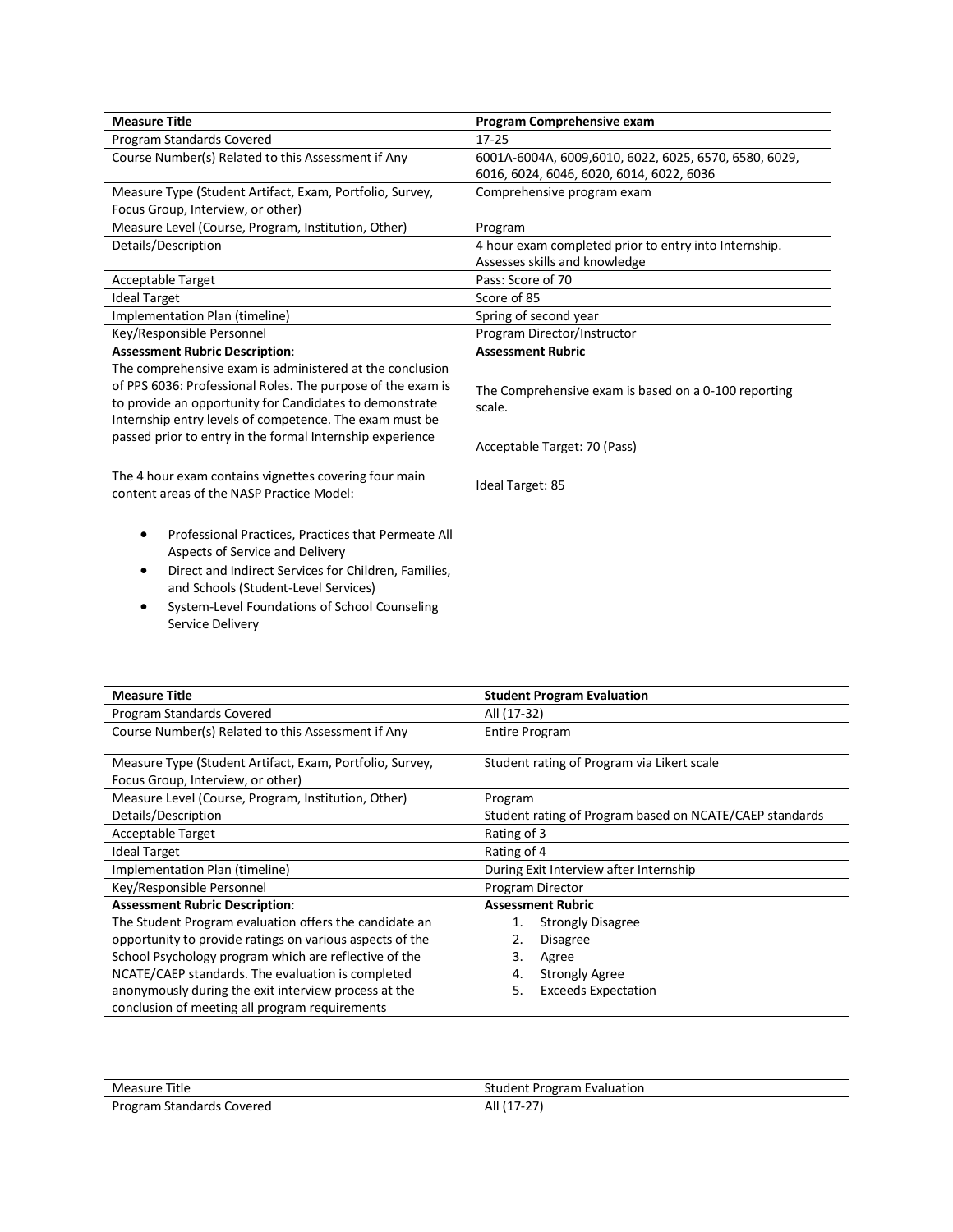| <b>Measure Title</b>                                                                                                                                                                                                                                                                                       | Program Comprehensive exam                                                                        |
|------------------------------------------------------------------------------------------------------------------------------------------------------------------------------------------------------------------------------------------------------------------------------------------------------------|---------------------------------------------------------------------------------------------------|
| Program Standards Covered                                                                                                                                                                                                                                                                                  | $17 - 25$                                                                                         |
| Course Number(s) Related to this Assessment if Any                                                                                                                                                                                                                                                         | 6001A-6004A, 6009,6010, 6022, 6025, 6570, 6580, 6029,<br>6016, 6024, 6046, 6020, 6014, 6022, 6036 |
| Measure Type (Student Artifact, Exam, Portfolio, Survey,                                                                                                                                                                                                                                                   | Comprehensive program exam                                                                        |
| Focus Group, Interview, or other)                                                                                                                                                                                                                                                                          |                                                                                                   |
| Measure Level (Course, Program, Institution, Other)                                                                                                                                                                                                                                                        | Program                                                                                           |
| Details/Description                                                                                                                                                                                                                                                                                        | 4 hour exam completed prior to entry into Internship.                                             |
|                                                                                                                                                                                                                                                                                                            | Assesses skills and knowledge                                                                     |
| Acceptable Target                                                                                                                                                                                                                                                                                          | Pass: Score of 70                                                                                 |
| <b>Ideal Target</b>                                                                                                                                                                                                                                                                                        | Score of 85                                                                                       |
| Implementation Plan (timeline)                                                                                                                                                                                                                                                                             | Spring of second year                                                                             |
| Key/Responsible Personnel                                                                                                                                                                                                                                                                                  | Program Director/Instructor                                                                       |
| <b>Assessment Rubric Description:</b>                                                                                                                                                                                                                                                                      | <b>Assessment Rubric</b>                                                                          |
| The comprehensive exam is administered at the conclusion<br>of PPS 6036: Professional Roles. The purpose of the exam is<br>to provide an opportunity for Candidates to demonstrate<br>Internship entry levels of competence. The exam must be<br>passed prior to entry in the formal Internship experience | The Comprehensive exam is based on a 0-100 reporting<br>scale.<br>Acceptable Target: 70 (Pass)    |
| The 4 hour exam contains vignettes covering four main<br>content areas of the NASP Practice Model:                                                                                                                                                                                                         | Ideal Target: 85                                                                                  |
| Professional Practices, Practices that Permeate All<br>Aspects of Service and Delivery<br>Direct and Indirect Services for Children, Families,<br>and Schools (Student-Level Services)<br>System-Level Foundations of School Counseling<br>Service Delivery                                                |                                                                                                   |
|                                                                                                                                                                                                                                                                                                            |                                                                                                   |

| <b>Measure Title</b>                                                                                   | <b>Student Program Evaluation</b>                       |  |  |
|--------------------------------------------------------------------------------------------------------|---------------------------------------------------------|--|--|
| Program Standards Covered                                                                              | All (17-32)                                             |  |  |
| Course Number(s) Related to this Assessment if Any                                                     | <b>Entire Program</b>                                   |  |  |
| Measure Type (Student Artifact, Exam, Portfolio, Survey,<br>Focus Group, Interview, or other)          | Student rating of Program via Likert scale              |  |  |
| Measure Level (Course, Program, Institution, Other)                                                    | Program                                                 |  |  |
| Details/Description                                                                                    | Student rating of Program based on NCATE/CAEP standards |  |  |
| <b>Acceptable Target</b>                                                                               | Rating of 3                                             |  |  |
| <b>Ideal Target</b>                                                                                    | Rating of 4                                             |  |  |
| Implementation Plan (timeline)                                                                         | During Exit Interview after Internship                  |  |  |
| Key/Responsible Personnel                                                                              | Program Director                                        |  |  |
| <b>Assessment Rubric Description:</b>                                                                  | <b>Assessment Rubric</b>                                |  |  |
| The Student Program evaluation offers the candidate an                                                 | <b>Strongly Disagree</b><br>1.                          |  |  |
| opportunity to provide ratings on various aspects of the                                               | 2.<br><b>Disagree</b>                                   |  |  |
| School Psychology program which are reflective of the                                                  | 3.<br>Agree                                             |  |  |
| NCATE/CAEP standards. The evaluation is completed                                                      | <b>Strongly Agree</b><br>4.                             |  |  |
| anonymously during the exit interview process at the<br>conclusion of meeting all program requirements | <b>Exceeds Expectation</b><br>5.                        |  |  |

| Title<br>Measure    | Student Program Evaluation |
|---------------------|----------------------------|
| i Standards Covered | $\sim$ $\sim$              |
| Program             | All                        |